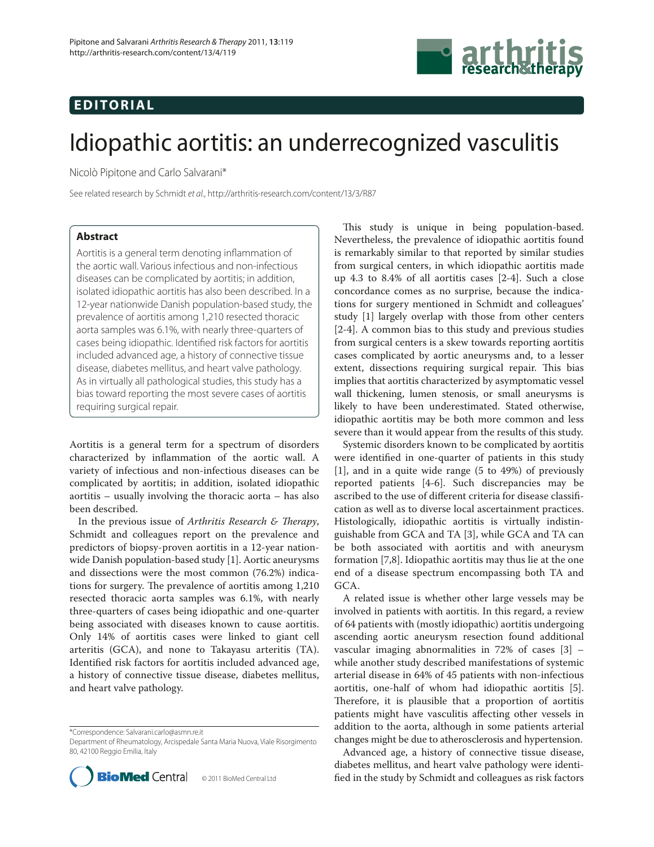## **EDITORIAL**



# Idiopathic aortitis: an underrecognized vasculitis

Nicolò Pipitone and Carlo Salvarani\*

See related research by Schmidt et al., http://arthritis-research.com/content/13/3/R87

### **Abstract**

Aortitis is a general term denoting inflammation of the aortic wall. Various infectious and non-infectious diseases can be complicated by aortitis; in addition, isolated idiopathic aortitis has also been described. In a 12-year nationwide Danish population-based study, the prevalence of aortitis among 1,210 resected thoracic aorta samples was 6.1%, with nearly three-quarters of cases being idiopathic. Identified risk factors for aortitis included advanced age, a history of connective tissue disease, diabetes mellitus, and heart valve pathology. As in virtually all pathological studies, this study has a bias toward reporting the most severe cases of aortitis requiring surgical repair.

Aortitis is a general term for a spectrum of disorders characterized by inflammation of the aortic wall. A variety of infectious and non-infectious diseases can be complicated by aortitis; in addition, isolated idiopathic aortitis – usually involving the thoracic aorta – has also been described.

In the previous issue of *Arthritis Research & Therapy*, Schmidt and colleagues report on the prevalence and predictors of biopsy-proven aortitis in a 12-year nationwide Danish population-based study [1]. Aortic aneurysms and dissections were the most common (76.2%) indications for surgery. The prevalence of aortitis among 1,210 resected thoracic aorta samples was 6.1%, with nearly three-quarters of cases being idiopathic and one-quarter being associated with diseases known to cause aortitis. Only 14% of aortitis cases were linked to giant cell arteritis (GCA), and none to Takayasu arteritis (TA). Identified risk factors for aortitis included advanced age, a history of connective tissue disease, diabetes mellitus, and heart valve pathology.

\*Correspondence: Salvarani.carlo@asmn.re.it

Department of Rheumatology, Arcispedale Santa Maria Nuova, Viale Risorgimento 80, 42100 Reggio Emilia, Italy



This study is unique in being population-based. Nevertheless, the prevalence of idiopathic aortitis found is remarkably similar to that reported by similar studies from surgical centers, in which idiopathic aortitis made up 4.3 to 8.4% of all aortitis cases [2-4]. Such a close concordance comes as no surprise, because the indications for surgery mentioned in Schmidt and colleagues' study [1] largely overlap with those from other centers [2-4]. A common bias to this study and previous studies from surgical centers is a skew towards reporting aortitis cases complicated by aortic aneurysms and, to a lesser extent, dissections requiring surgical repair. This bias implies that aortitis characterized by asymptomatic vessel wall thickening, lumen stenosis, or small aneurysms is likely to have been underestimated. Stated otherwise, idiopathic aortitis may be both more common and less severe than it would appear from the results of this study.

Systemic disorders known to be complicated by aortitis were identified in one-quarter of patients in this study [1], and in a quite wide range (5 to 49%) of previously reported patients [4-6]. Such discrepancies may be ascribed to the use of different criteria for disease classification as well as to diverse local ascertainment practices. Histologically, idiopathic aortitis is virtually indistinguish able from GCA and TA [3], while GCA and TA can be both associated with aortitis and with aneurysm formation [7,8]. Idiopathic aortitis may thus lie at the one end of a disease spectrum encompassing both TA and GCA.

A related issue is whether other large vessels may be involved in patients with aortitis. In this regard, a review of 64 patients with (mostly idiopathic) aortitis undergoing ascending aortic aneurysm resection found additional vascular imaging abnormalities in 72% of cases [3] – while another study described manifestations of systemic arterial disease in 64% of 45 patients with non-infectious aortitis, one-half of whom had idiopathic aortitis [5]. Therefore, it is plausible that a proportion of aortitis patients might have vasculitis affecting other vessels in addition to the aorta, although in some patients arterial changes might be due to atherosclerosis and hypertension.

Advanced age, a history of connective tissue disease, diabetes mellitus, and heart valve pathology were identified in the study by Schmidt and colleagues as risk factors